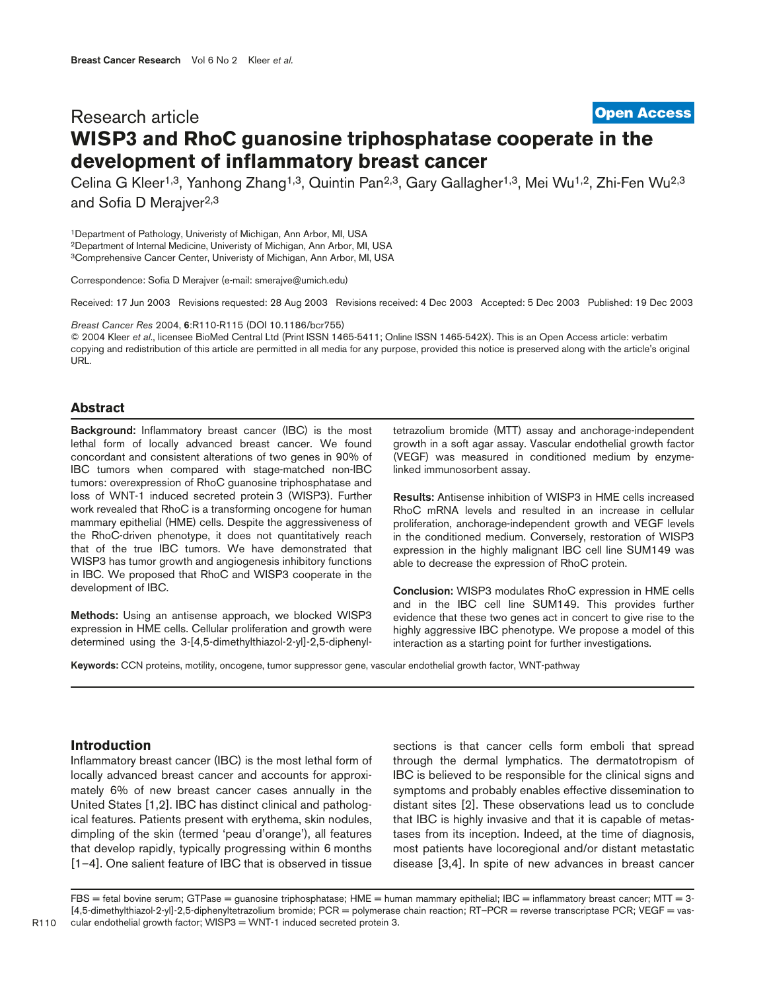## Research article **WISP3 and RhoC guanosine triphosphatase cooperate in the development of inflammatory breast cancer [Open Access](http://www.biomedcentral.com/info/about/charter/)**

Celina G Kleer<sup>1,3</sup>, Yanhong Zhang<sup>1,3</sup>, Quintin Pan<sup>2,3</sup>, Gary Gallagher<sup>1,3</sup>, Mei Wu<sup>1,2</sup>, Zhi-Fen Wu<sup>2,3</sup> and Sofia D Merajver<sup>2,3</sup>

1Department of Pathology, Univeristy of Michigan, Ann Arbor, MI, USA 2Department of Internal Medicine, Univeristy of Michigan, Ann Arbor, MI, USA <sup>3</sup>Comprehensive Cancer Center, Univeristy of Michigan, Ann Arbor, MI, USA

Correspondence: Sofia D Merajver (e-mail: smerajve@umich.edu)

Received: 17 Jun 2003 Revisions requested: 28 Aug 2003 Revisions received: 4 Dec 2003 Accepted: 5 Dec 2003 Published: 19 Dec 2003

*Breast Cancer Res* 2004, **6**:R110-R115 (DOI 10.1186/bcr755)

© 2004 Kleer *et al*., licensee BioMed Central Ltd (Print ISSN 1465-5411; Online ISSN 1465-542X). This is an Open Access article: verbatim copying and redistribution of this article are permitted in all media for any purpose, provided this notice is preserved along with the article's original URL.

## **Abstract**

**Background:** Inflammatory breast cancer (IBC) is the most lethal form of locally advanced breast cancer. We found concordant and consistent alterations of two genes in 90% of IBC tumors when compared with stage-matched non-IBC tumors: overexpression of RhoC guanosine triphosphatase and loss of WNT-1 induced secreted protein 3 (WISP3). Further work revealed that RhoC is a transforming oncogene for human mammary epithelial (HME) cells. Despite the aggressiveness of the RhoC-driven phenotype, it does not quantitatively reach that of the true IBC tumors. We have demonstrated that WISP3 has tumor growth and angiogenesis inhibitory functions in IBC. We proposed that RhoC and WISP3 cooperate in the development of IBC.

**Methods:** Using an antisense approach, we blocked WISP3 expression in HME cells. Cellular proliferation and growth were determined using the 3-[4,5-dimethylthiazol-2-yl]-2,5-diphenyltetrazolium bromide (MTT) assay and anchorage-independent growth in a soft agar assay. Vascular endothelial growth factor (VEGF) was measured in conditioned medium by enzymelinked immunosorbent assay.

**Results:** Antisense inhibition of WISP3 in HME cells increased RhoC mRNA levels and resulted in an increase in cellular proliferation, anchorage-independent growth and VEGF levels in the conditioned medium. Conversely, restoration of WISP3 expression in the highly malignant IBC cell line SUM149 was able to decrease the expression of RhoC protein.

**Conclusion:** WISP3 modulates RhoC expression in HME cells and in the IBC cell line SUM149. This provides further evidence that these two genes act in concert to give rise to the highly aggressive IBC phenotype. We propose a model of this interaction as a starting point for further investigations.

**Keywords:** CCN proteins, motility, oncogene, tumor suppressor gene, vascular endothelial growth factor, WNT-pathway

## **Introduction**

Inflammatory breast cancer (IBC) is the most lethal form of locally advanced breast cancer and accounts for approximately 6% of new breast cancer cases annually in the United States [1,2]. IBC has distinct clinical and pathological features. Patients present with erythema, skin nodules, dimpling of the skin (termed 'peau d'orange'), all features that develop rapidly, typically progressing within 6 months [1–4]. One salient feature of IBC that is observed in tissue

sections is that cancer cells form emboli that spread through the dermal lymphatics. The dermatotropism of IBC is believed to be responsible for the clinical signs and symptoms and probably enables effective dissemination to distant sites [2]. These observations lead us to conclude that IBC is highly invasive and that it is capable of metastases from its inception. Indeed, at the time of diagnosis, most patients have locoregional and/or distant metastatic disease [3,4]. In spite of new advances in breast cancer

FBS = fetal bovine serum; GTPase = guanosine triphosphatase; HME = human mammary epithelial; IBC = inflammatory breast cancer; MTT = 3- [4,5-dimethylthiazol-2-yl]-2,5-diphenyltetrazolium bromide; PCR = polymerase chain reaction; RT–PCR = reverse transcriptase PCR; VEGF = vascular endothelial growth factor; WISP3 = WNT-1 induced secreted protein 3.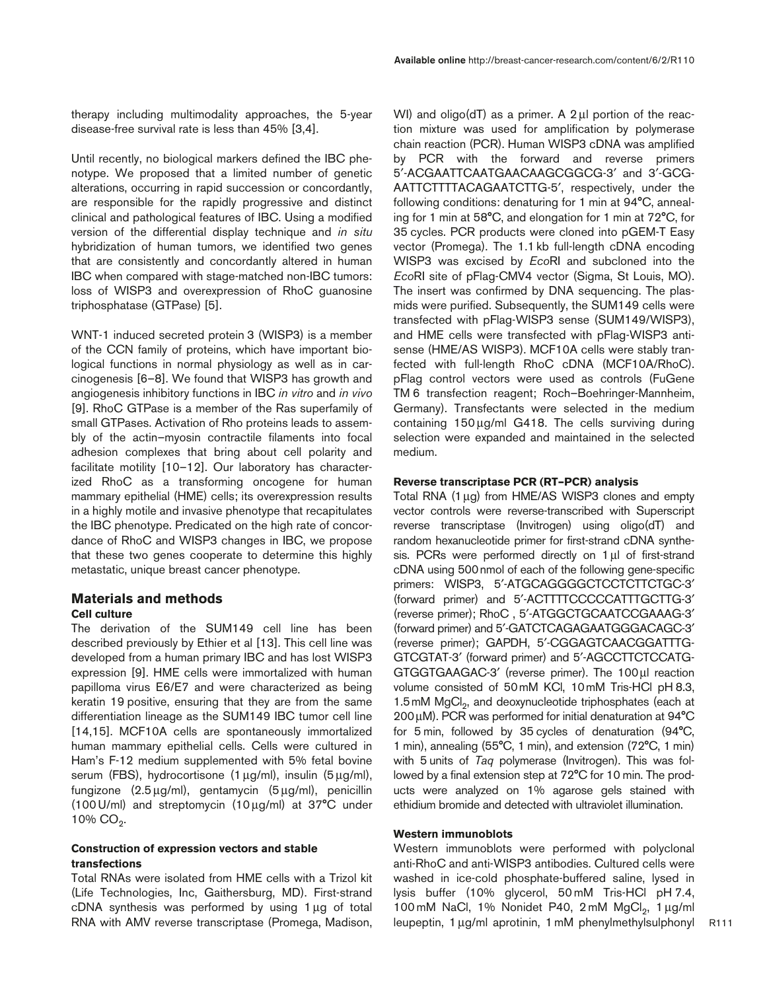therapy including multimodality approaches, the 5-year disease-free survival rate is less than 45% [3,4].

Until recently, no biological markers defined the IBC phenotype. We proposed that a limited number of genetic alterations, occurring in rapid succession or concordantly, are responsible for the rapidly progressive and distinct clinical and pathological features of IBC. Using a modified version of the differential display technique and *in situ* hybridization of human tumors, we identified two genes that are consistently and concordantly altered in human IBC when compared with stage-matched non-IBC tumors: loss of WISP3 and overexpression of RhoC guanosine triphosphatase (GTPase) [5].

WNT-1 induced secreted protein 3 (WISP3) is a member of the CCN family of proteins, which have important biological functions in normal physiology as well as in carcinogenesis [6–8]. We found that WISP3 has growth and angiogenesis inhibitory functions in IBC *in vitro* and *in vivo* [9]. RhoC GTPase is a member of the Ras superfamily of small GTPases. Activation of Rho proteins leads to assembly of the actin–myosin contractile filaments into focal adhesion complexes that bring about cell polarity and facilitate motility [10–12]. Our laboratory has characterized RhoC as a transforming oncogene for human mammary epithelial (HME) cells; its overexpression results in a highly motile and invasive phenotype that recapitulates the IBC phenotype. Predicated on the high rate of concordance of RhoC and WISP3 changes in IBC, we propose that these two genes cooperate to determine this highly metastatic, unique breast cancer phenotype.

# **Materials and methods**

## **Cell culture**

The derivation of the SUM149 cell line has been described previously by Ethier et al [13]. This cell line was developed from a human primary IBC and has lost WISP3 expression [9]. HME cells were immortalized with human papilloma virus E6/E7 and were characterized as being keratin 19 positive, ensuring that they are from the same differentiation lineage as the SUM149 IBC tumor cell line [14,15]. MCF10A cells are spontaneously immortalized human mammary epithelial cells. Cells were cultured in Ham's F-12 medium supplemented with 5% fetal bovine serum (FBS), hydrocortisone (1 µg/ml), insulin (5µg/ml), fungizone (2.5 µg/ml), gentamycin (5µg/ml), penicillin (100 U/ml) and streptomycin (10µg/ml) at 37°C under  $10\%$  CO<sub>2</sub>.

#### **Construction of expression vectors and stable transfections**

Total RNAs were isolated from HME cells with a Trizol kit (Life Technologies, Inc, Gaithersburg, MD). First-strand cDNA synthesis was performed by using 1µg of total RNA with AMV reverse transcriptase (Promega, Madison, WI) and oligo( $dT$ ) as a primer. A 2  $\mu$ I portion of the reaction mixture was used for amplification by polymerase chain reaction (PCR). Human WISP3 cDNA was amplified by PCR with the forward and reverse primers 5′-ACGAATTCAATGAACAAGCGGCG-3′ and 3′-GCG-AATTCTTTTACAGAATCTTG-5′, respectively, under the following conditions: denaturing for 1 min at 94°C, annealing for 1 min at 58°C, and elongation for 1 min at 72°C, for 35 cycles. PCR products were cloned into pGEM-T Easy vector (Promega). The 1.1 kb full-length cDNA encoding WISP3 was excised by *Eco*RI and subcloned into the *Eco*RI site of pFlag-CMV4 vector (Sigma, St Louis, MO). The insert was confirmed by DNA sequencing. The plasmids were purified. Subsequently, the SUM149 cells were transfected with pFlag-WISP3 sense (SUM149/WISP3), and HME cells were transfected with pFlag-WISP3 antisense (HME/AS WISP3). MCF10A cells were stably tranfected with full-length RhoC cDNA (MCF10A/RhoC). pFlag control vectors were used as controls (FuGene TM 6 transfection reagent; Roch–Boehringer-Mannheim, Germany). Transfectants were selected in the medium containing 150µg/ml G418. The cells surviving during selection were expanded and maintained in the selected medium.

#### **Reverse transcriptase PCR (RT–PCR) analysis**

Total RNA  $(1 \mu g)$  from HME/AS WISP3 clones and empty vector controls were reverse-transcribed with Superscript reverse transcriptase (Invitrogen) using oligo(dT) and random hexanucleotide primer for first-strand cDNA synthesis. PCRs were performed directly on 1 µl of first-strand cDNA using 500nmol of each of the following gene-specific primers: WISP3, 5'-ATGCAGGGGCTCCTCTTCTGC-3' (forward primer) and 5′-ACTTTTCCCCCATTTGCTTG-3′ (reverse primer); RhoC , 5′-ATGGCTGCAATCCGAAAG-3′ (forward primer) and 5′-GATCTCAGAGAATGGGACAGC-3′ (reverse primer); GAPDH, 5′-CGGAGTCAACGGATTTG-GTCGTAT-3′ (forward primer) and 5′-AGCCTTCTCCATG-GTGGTGAAGAC-3′ (reverse primer). The 100µl reaction volume consisted of 50mM KCl, 10mM Tris-HCl pH 8.3, 1.5 mM MgCl<sub>2</sub>, and deoxynucleotide triphosphates (each at 200µM). PCR was performed for initial denaturation at 94°C for 5 min, followed by 35 cycles of denaturation (94°C, 1 min), annealing (55°C, 1 min), and extension (72°C, 1 min) with 5 units of *Taq* polymerase (Invitrogen). This was followed by a final extension step at 72°C for 10 min. The products were analyzed on 1% agarose gels stained with ethidium bromide and detected with ultraviolet illumination.

#### **Western immunoblots**

Western immunoblots were performed with polyclonal anti-RhoC and anti-WISP3 antibodies. Cultured cells were washed in ice-cold phosphate-buffered saline, lysed in lysis buffer (10% glycerol, 50 mM Tris-HCl pH 7.4, 100 mM NaCl, 1% Nonidet P40, 2 mM MgCl<sub>2</sub>, 1 µg/ml leupeptin, 1µg/ml aprotinin, 1 mM phenylmethylsulphonyl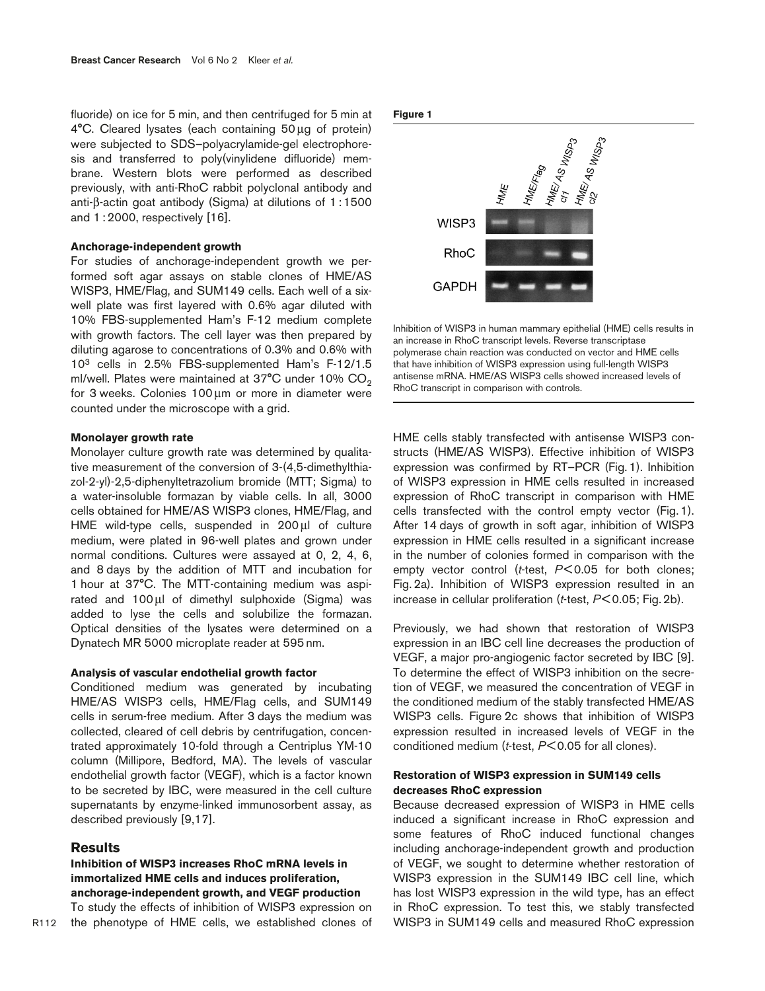fluoride) on ice for 5 min, and then centrifuged for 5 min at 4°C. Cleared lysates (each containing 50 µg of protein) were subjected to SDS–polyacrylamide-gel electrophoresis and transferred to poly(vinylidene difluoride) membrane. Western blots were performed as described previously, with anti-RhoC rabbit polyclonal antibody and anti-β-actin goat antibody (Sigma) at dilutions of 1 : 1500 and 1 : 2000, respectively [16].

#### **Anchorage-independent growth**

For studies of anchorage-independent growth we performed soft agar assays on stable clones of HME/AS WISP3, HME/Flag, and SUM149 cells. Each well of a sixwell plate was first layered with 0.6% agar diluted with 10% FBS-supplemented Ham's F-12 medium complete with growth factors. The cell layer was then prepared by diluting agarose to concentrations of 0.3% and 0.6% with 103 cells in 2.5% FBS-supplemented Ham's F-12/1.5 ml/well. Plates were maintained at  $37^{\circ}$ C under  $10\%$  CO<sub>2</sub> for 3 weeks. Colonies 100µm or more in diameter were counted under the microscope with a grid.

#### **Monolayer growth rate**

Monolayer culture growth rate was determined by qualitative measurement of the conversion of 3-(4,5-dimethylthiazol-2-yl)-2,5-diphenyltetrazolium bromide (MTT; Sigma) to a water-insoluble formazan by viable cells. In all, 3000 cells obtained for HME/AS WISP3 clones, HME/Flag, and HME wild-type cells, suspended in 200µl of culture medium, were plated in 96-well plates and grown under normal conditions. Cultures were assayed at 0, 2, 4, 6, and 8 days by the addition of MTT and incubation for 1 hour at 37°C. The MTT-containing medium was aspirated and 100µl of dimethyl sulphoxide (Sigma) was added to lyse the cells and solubilize the formazan. Optical densities of the lysates were determined on a Dynatech MR 5000 microplate reader at 595 nm.

#### **Analysis of vascular endothelial growth factor**

Conditioned medium was generated by incubating HME/AS WISP3 cells, HME/Flag cells, and SUM149 cells in serum-free medium. After 3 days the medium was collected, cleared of cell debris by centrifugation, concentrated approximately 10-fold through a Centriplus YM-10 column (Millipore, Bedford, MA). The levels of vascular endothelial growth factor (VEGF), which is a factor known to be secreted by IBC, were measured in the cell culture supernatants by enzyme-linked immunosorbent assay, as described previously [9,17].

#### **Results**

**Inhibition of WISP3 increases RhoC mRNA levels in immortalized HME cells and induces proliferation, anchorage-independent growth, and VEGF production**

To study the effects of inhibition of WISP3 expression on the phenotype of HME cells, we established clones of



Inhibition of WISP3 in human mammary epithelial (HME) cells results in an increase in RhoC transcript levels. Reverse transcriptase polymerase chain reaction was conducted on vector and HME cells that have inhibition of WISP3 expression using full-length WISP3 antisense mRNA. HME/AS WISP3 cells showed increased levels of RhoC transcript in comparison with controls.

HME cells stably transfected with antisense WISP3 constructs (HME/AS WISP3). Effective inhibition of WISP3 expression was confirmed by RT–PCR (Fig. 1). Inhibition of WISP3 expression in HME cells resulted in increased expression of RhoC transcript in comparison with HME cells transfected with the control empty vector (Fig. 1). After 14 days of growth in soft agar, inhibition of WISP3 expression in HME cells resulted in a significant increase in the number of colonies formed in comparison with the empty vector control (*t*-test, *P*< 0.05 for both clones; Fig. 2a). Inhibition of WISP3 expression resulted in an increase in cellular proliferation (*t*-test, *P*< 0.05; Fig. 2b).

Previously, we had shown that restoration of WISP3 expression in an IBC cell line decreases the production of VEGF, a major pro-angiogenic factor secreted by IBC [9]. To determine the effect of WISP3 inhibition on the secretion of VEGF, we measured the concentration of VEGF in the conditioned medium of the stably transfected HME/AS WISP3 cells. Figure 2c shows that inhibition of WISP3 expression resulted in increased levels of VEGF in the conditioned medium (*t*-test, *P*< 0.05 for all clones).

#### **Restoration of WISP3 expression in SUM149 cells decreases RhoC expression**

Because decreased expression of WISP3 in HME cells induced a significant increase in RhoC expression and some features of RhoC induced functional changes including anchorage-independent growth and production of VEGF, we sought to determine whether restoration of WISP3 expression in the SUM149 IBC cell line, which has lost WISP3 expression in the wild type, has an effect in RhoC expression. To test this, we stably transfected WISP3 in SUM149 cells and measured RhoC expression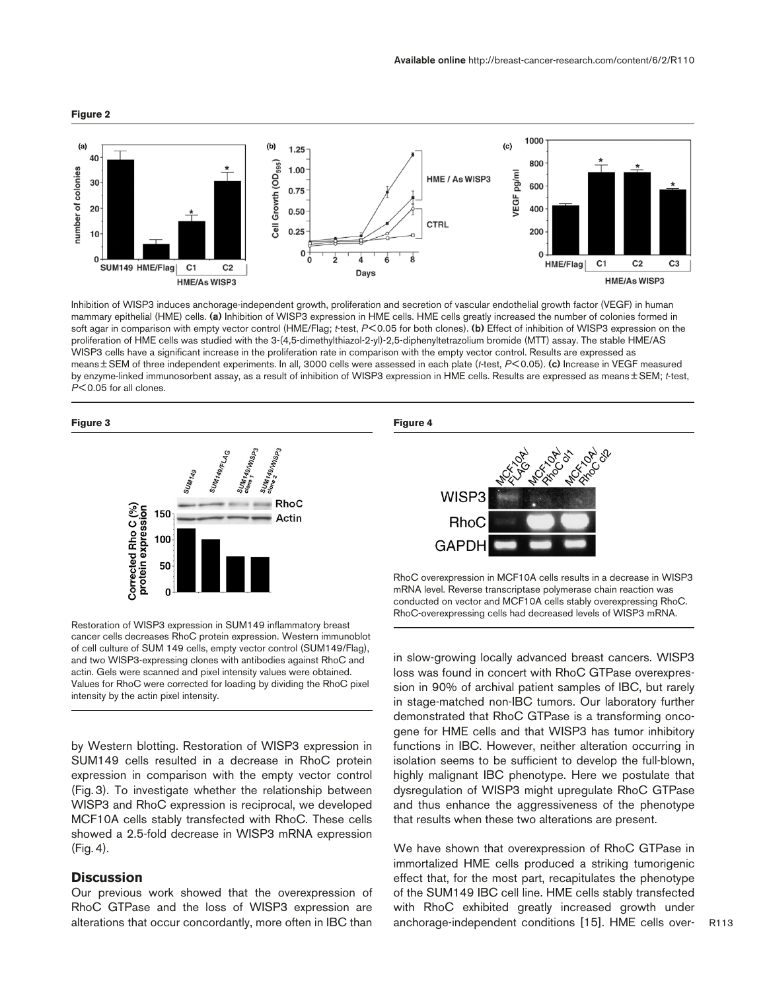

Inhibition of WISP3 induces anchorage-independent growth, proliferation and secretion of vascular endothelial growth factor (VEGF) in human mammary epithelial (HME) cells. **(a)** Inhibition of WISP3 expression in HME cells. HME cells greatly increased the number of colonies formed in soft agar in comparison with empty vector control (HME/Flag; *t*-test, *P*< 0.05 for both clones). **(b)** Effect of inhibition of WISP3 expression on the proliferation of HME cells was studied with the 3-(4,5-dimethylthiazol-2-yl)-2,5-diphenyltetrazolium bromide (MTT) assay. The stable HME/AS WISP3 cells have a significant increase in the proliferation rate in comparison with the empty vector control. Results are expressed as means ± SEM of three independent experiments. In all, 3000 cells were assessed in each plate (*t*-test, *P*< 0.05). **(c)** Increase in VEGF measured by enzyme-linked immunosorbent assay, as a result of inhibition of WISP3 expression in HME cells. Results are expressed as means ± SEM; *t*-test, *P*< 0.05 for all clones.



Restoration of WISP3 expression in SUM149 inflammatory breast cancer cells decreases RhoC protein expression. Western immunoblot of cell culture of SUM 149 cells, empty vector control (SUM149/Flag), and two WISP3-expressing clones with antibodies against RhoC and actin. Gels were scanned and pixel intensity values were obtained. Values for RhoC were corrected for loading by dividing the RhoC pixel intensity by the actin pixel intensity.

by Western blotting. Restoration of WISP3 expression in SUM149 cells resulted in a decrease in RhoC protein expression in comparison with the empty vector control (Fig. 3). To investigate whether the relationship between WISP3 and RhoC expression is reciprocal, we developed MCF10A cells stably transfected with RhoC. These cells showed a 2.5-fold decrease in WISP3 mRNA expression (Fig. 4).

## **Discussion**

Our previous work showed that the overexpression of RhoC GTPase and the loss of WISP3 expression are alterations that occur concordantly, more often in IBC than

in slow-growing locally advanced breast cancers. WISP3 loss was found in concert with RhoC GTPase overexpression in 90% of archival patient samples of IBC, but rarely in stage-matched non-IBC tumors. Our laboratory further demonstrated that RhoC GTPase is a transforming oncogene for HME cells and that WISP3 has tumor inhibitory functions in IBC. However, neither alteration occurring in isolation seems to be sufficient to develop the full-blown, highly malignant IBC phenotype. Here we postulate that dysregulation of WISP3 might upregulate RhoC GTPase and thus enhance the aggressiveness of the phenotype that results when these two alterations are present.

We have shown that overexpression of RhoC GTPase in immortalized HME cells produced a striking tumorigenic effect that, for the most part, recapitulates the phenotype of the SUM149 IBC cell line. HME cells stably transfected with RhoC exhibited greatly increased growth under anchorage-independent conditions [15]. HME cells over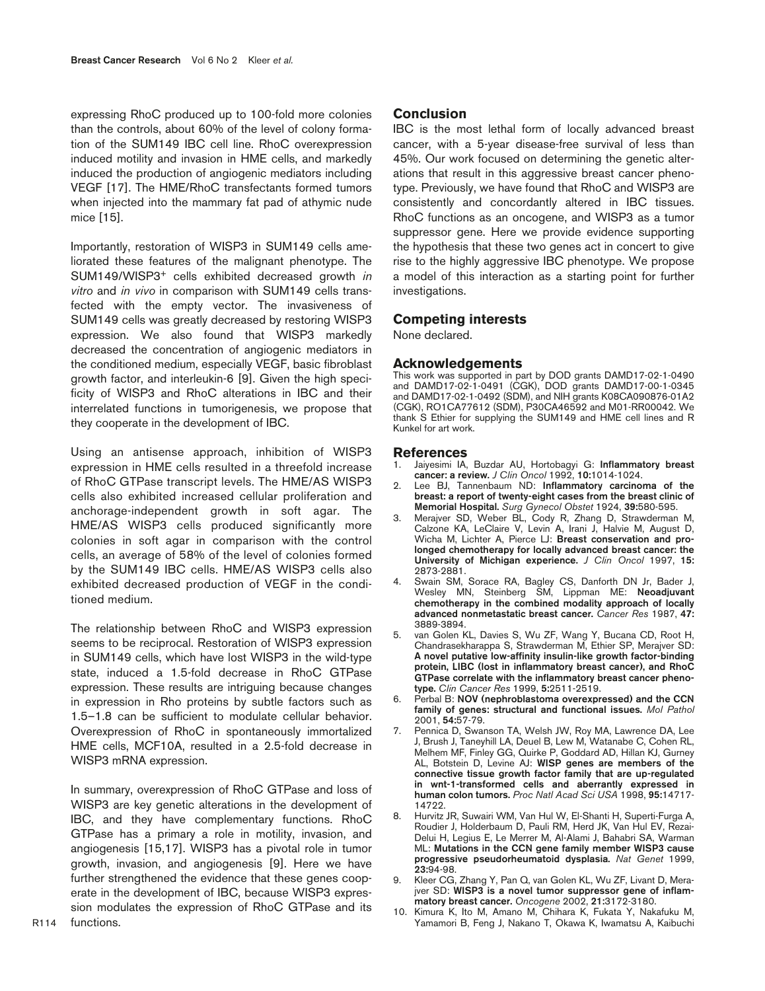expressing RhoC produced up to 100-fold more colonies than the controls, about 60% of the level of colony formation of the SUM149 IBC cell line. RhoC overexpression induced motility and invasion in HME cells, and markedly induced the production of angiogenic mediators including VEGF [17]. The HME/RhoC transfectants formed tumors when injected into the mammary fat pad of athymic nude mice [15].

Importantly, restoration of WISP3 in SUM149 cells ameliorated these features of the malignant phenotype. The SUM149/WISP3+ cells exhibited decreased growth *in vitro* and *in vivo* in comparison with SUM149 cells transfected with the empty vector. The invasiveness of SUM149 cells was greatly decreased by restoring WISP3 expression. We also found that WISP3 markedly decreased the concentration of angiogenic mediators in the conditioned medium, especially VEGF, basic fibroblast growth factor, and interleukin-6 [9]. Given the high specificity of WISP3 and RhoC alterations in IBC and their interrelated functions in tumorigenesis, we propose that they cooperate in the development of IBC.

Using an antisense approach, inhibition of WISP3 expression in HME cells resulted in a threefold increase of RhoC GTPase transcript levels. The HME/AS WISP3 cells also exhibited increased cellular proliferation and anchorage-independent growth in soft agar. The HME/AS WISP3 cells produced significantly more colonies in soft agar in comparison with the control cells, an average of 58% of the level of colonies formed by the SUM149 IBC cells. HME/AS WISP3 cells also exhibited decreased production of VEGF in the conditioned medium.

The relationship between RhoC and WISP3 expression seems to be reciprocal. Restoration of WISP3 expression in SUM149 cells, which have lost WISP3 in the wild-type state, induced a 1.5-fold decrease in RhoC GTPase expression. These results are intriguing because changes in expression in Rho proteins by subtle factors such as 1.5–1.8 can be sufficient to modulate cellular behavior. Overexpression of RhoC in spontaneously immortalized HME cells, MCF10A, resulted in a 2.5-fold decrease in WISP3 mRNA expression.

In summary, overexpression of RhoC GTPase and loss of WISP3 are key genetic alterations in the development of IBC, and they have complementary functions. RhoC GTPase has a primary a role in motility, invasion, and angiogenesis [15,17]. WISP3 has a pivotal role in tumor growth, invasion, and angiogenesis [9]. Here we have further strengthened the evidence that these genes cooperate in the development of IBC, because WISP3 expression modulates the expression of RhoC GTPase and its functions.

## **Conclusion**

IBC is the most lethal form of locally advanced breast cancer, with a 5-year disease-free survival of less than 45%. Our work focused on determining the genetic alterations that result in this aggressive breast cancer phenotype. Previously, we have found that RhoC and WISP3 are consistently and concordantly altered in IBC tissues. RhoC functions as an oncogene, and WISP3 as a tumor suppressor gene. Here we provide evidence supporting the hypothesis that these two genes act in concert to give rise to the highly aggressive IBC phenotype. We propose a model of this interaction as a starting point for further investigations.

#### **Competing interests**

None declared.

#### **Acknowledgements**

This work was supported in part by DOD grants DAMD17-02-1-0490 and DAMD17-02-1-0491 (CGK), DOD grants DAMD17-00-1-0345 and DAMD17-02-1-0492 (SDM), and NIH grants K08CA090876-01A2 (CGK), RO1CA77612 (SDM), P30CA46592 and M01-RR00042. We thank S Ethier for supplying the SUM149 and HME cell lines and R Kunkel for art work.

# **References**<br>1. Jaivesimi IA.

- 1. Jaiyesimi IA, Buzdar AU, Hortobagyi G: **Inflammatory breast cancer: a review.** *J Clin Oncol* 1992, **10:**1014-1024.
- 2. Lee BJ, Tannenbaum ND: **Inflammatory carcinoma of the breast: a report of twenty-eight cases from the breast clinic of Memorial Hospital.** *Surg Gynecol Obstet* 1924, **39:**580-595.
- 3. Merajver SD, Weber BL, Cody R, Zhang D, Strawderman M, Calzone KA, LeClaire V, Levin A, Irani J, Halvie M, August D, Wicha M, Lichter A, Pierce LJ: **Breast conservation and prolonged chemotherapy for locally advanced breast cancer: the University of Michigan experience.** *J Clin Oncol* 1997, **15:** 2873-2881.
- 4. Swain SM, Sorace RA, Bagley CS, Danforth DN Jr, Bader J, Wesley MN, Steinberg SM, Lippman ME: **Neoadjuvant chemotherapy in the combined modality approach of locally advanced nonmetastatic breast cancer.** *Cancer Res* 1987, **47:** 3889-3894.
- 5. van Golen KL, Davies S, Wu ZF, Wang Y, Bucana CD, Root H, Chandrasekharappa S, Strawderman M, Ethier SP, Merajver SD: **A novel putative low-affinity insulin-like growth factor-binding protein, LIBC (lost in inflammatory breast cancer), and RhoC GTPase correlate with the inflammatory breast cancer phenotype.** *Clin Cancer Res* 1999, **5:**2511-2519.
- 6. Perbal B: **NOV (nephroblastoma overexpressed) and the CCN family of genes: structural and functional issues.** *Mol Pathol* 2001, **54:**57-79.
- 7. Pennica D, Swanson TA, Welsh JW, Roy MA, Lawrence DA, Lee J, Brush J, Taneyhill LA, Deuel B, Lew M, Watanabe C, Cohen RL, Melhem MF, Finley GG, Quirke P, Goddard AD, Hillan KJ, Gurney AL, Botstein D, Levine AJ: **WISP genes are members of the connective tissue growth factor family that are up-regulated in wnt-1-transformed cells and aberrantly expressed in human colon tumors.** *Proc Natl Acad Sci USA* 1998, **95:**14717- 14722.
- 8. Hurvitz JR, Suwairi WM, Van Hul W, El-Shanti H, Superti-Furga A, Roudier J, Holderbaum D, Pauli RM, Herd JK, Van Hul EV, Rezai-Delui H, Legius E, Le Merrer M, Al-Alami J, Bahabri SA, Warman ML: **Mutations in the CCN gene family member WISP3 cause progressive pseudorheumatoid dysplasia.** *Nat Genet* 1999, **23:**94-98.
- 9. Kleer CG, Zhang Y, Pan Q, van Golen KL, Wu ZF, Livant D, Merajver SD: **WISP3 is a novel tumor suppressor gene of inflammatory breast cancer.** *Oncogene* 2002, **21:**3172-3180.
- 10. Kimura K, Ito M, Amano M, Chihara K, Fukata Y, Nakafuku M, Yamamori B, Feng J, Nakano T, Okawa K, Iwamatsu A, Kaibuchi